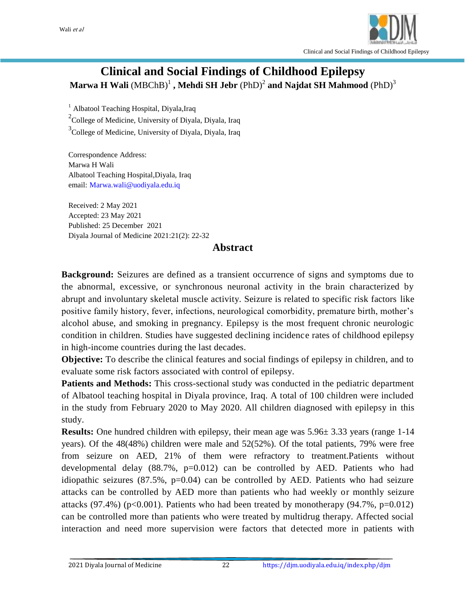

# **Clinical and Social Findings of Childhood Epilepsy**  $\mathbf{M}$ arwa  $\mathbf{H}$   $\mathbf{W}$ ali  $(\mathbf{M}\mathbf{B}\mathbf{C}\mathbf{h}\mathbf{B})^1$  ,  $\mathbf{M}$ ehdi  $\mathbf{S}\mathbf{H}$   $\mathbf{J}$ ebr  $(\mathsf{PhD})^2$  and  $\mathbf{N}$ ajdat  $\mathbf{S}\mathbf{H}$   $\mathbf{M}$ ahmood  $(\mathsf{PhD})^3$

<sup>1</sup> Albatool Teaching Hospital, Diyala, Iraq <sup>2</sup>College of Medicine, University of Diyala, Diyala, Iraq <sup>3</sup>College of Medicine, University of Diyala, Diyala, Iraq

Correspondence Address: Marwa H Wali Albatool Teaching Hospital,Diyala, Iraq email: Marwa.wali@uodiyala.edu.iq

Received: 2 May 2021 Accepted: 23 May 2021 Published: 25 December 2021 Diyala Journal of Medicine 2021:21(2): 22-32

#### **Abstract**

**Background:** Seizures are defined as a transient occurrence of signs and symptoms due to the abnormal, excessive, or synchronous neuronal activity in the brain characterized by abrupt and involuntary skeletal muscle activity. Seizure is related to specific risk factors like positive family history, fever, infections, neurological comorbidity, premature birth, mother's alcohol abuse, and smoking in pregnancy. Epilepsy is the most frequent chronic neurologic condition in children. Studies have suggested declining incidence rates of childhood epilepsy in high-income countries during the last decades.

**Objective:** To describe the clinical features and social findings of epilepsy in children, and to evaluate some risk factors associated with control of epilepsy.

**Patients and Methods:** This cross-sectional study was conducted in the pediatric department of Albatool teaching hospital in Diyala province, Iraq. A total of 100 children were included in the study from February 2020 to May 2020. All children diagnosed with epilepsy in this study.

**Results:** One hundred children with epilepsy, their mean age was 5.96 $\pm$  3.33 years (range 1-14 years). Of the 48(48%) children were male and 52(52%). Of the total patients, 79% were free from seizure on AED, 21% of them were refractory to treatment.Patients without developmental delay  $(88.7\%, p=0.012)$  can be controlled by AED. Patients who had idiopathic seizures  $(87.5\%, p=0.04)$  can be controlled by AED. Patients who had seizure attacks can be controlled by AED more than patients who had weekly or monthly seizure attacks (97.4%) (p<0.001). Patients who had been treated by monotherapy (94.7%, p=0.012) can be controlled more than patients who were treated by multidrug therapy. Affected social interaction and need more supervision were factors that detected more in patients with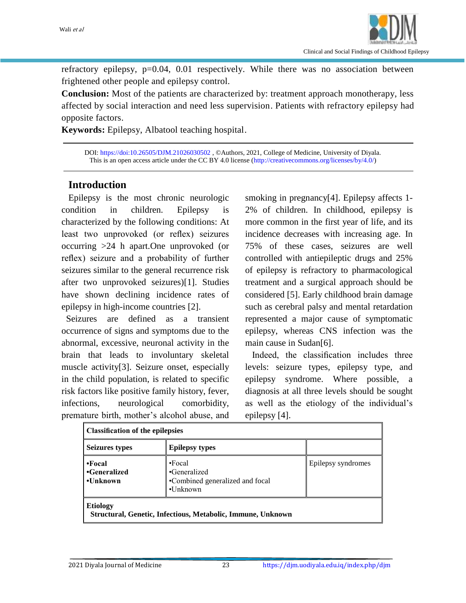

refractory epilepsy, p=0.04, 0.01 respectively. While there was no association between frightened other people and epilepsy control.

**Conclusion:** Most of the patients are characterized by: treatment approach monotherapy, less affected by social interaction and need less supervision. Patients with refractory epilepsy had opposite factors.

**Keywords:** Epilepsy, Albatool teaching hospital.

DOI: <https://doi:10.26505/DJM.21026030502> , ©Authors, 2021, College of Medicine, University of Diyala. This is an open access article under the CC BY 4.0 license [\(http://creativecommons.org/licenses/by/4.0/\)](http://creativecommons.org/licenses/by/4.0/)

### **Introduction**

 Epilepsy is the most chronic neurologic condition in children. Epilepsy is characterized by the following conditions: At least two unprovoked (or reflex) seizures occurring >24 h apart.One unprovoked (or reflex) seizure and a probability of further seizures similar to the general recurrence risk after two unprovoked seizures)[1]. Studies have shown declining incidence rates of epilepsy in high-income countries [2].

 Seizures are defined as a transient occurrence of signs and symptoms due to the abnormal, excessive, neuronal activity in the brain that leads to involuntary skeletal muscle activity[3]. Seizure onset, especially in the child population, is related to specific risk factors like positive family history, fever, infections, neurological comorbidity, premature birth, mother's alcohol abuse, and smoking in pregnancy<sup>[4]</sup>. Epilepsy affects 1-2% of children. In childhood, epilepsy is more common in the first year of life, and its incidence decreases with increasing age. In 75% of these cases, seizures are well controlled with antiepileptic drugs and 25% of epilepsy is refractory to pharmacological treatment and a surgical approach should be considered [5]. Early childhood brain damage such as cerebral palsy and mental retardation represented a major cause of symptomatic epilepsy, whereas CNS infection was the main cause in Sudan[6].

 Indeed, the classification includes three levels: seizure types, epilepsy type, and epilepsy syndrome. Where possible, a diagnosis at all three levels should be sought as well as the etiology of the individual's epilepsy [4].

| <b>Classification of the epilepsies</b>                                        |                                                                                     |                    |  |  |
|--------------------------------------------------------------------------------|-------------------------------------------------------------------------------------|--------------------|--|--|
| <b>Seizures types</b>                                                          | <b>Epilepsy types</b>                                                               |                    |  |  |
| $\bullet$ Focal<br>•Generalized<br>•Unknown                                    | $\cdot$ Focal<br>•Generalized<br>•Combined generalized and focal<br>$\cdot$ Unknown | Epilepsy syndromes |  |  |
| <b>Etiology</b><br>Structural, Genetic, Infectious, Metabolic, Immune, Unknown |                                                                                     |                    |  |  |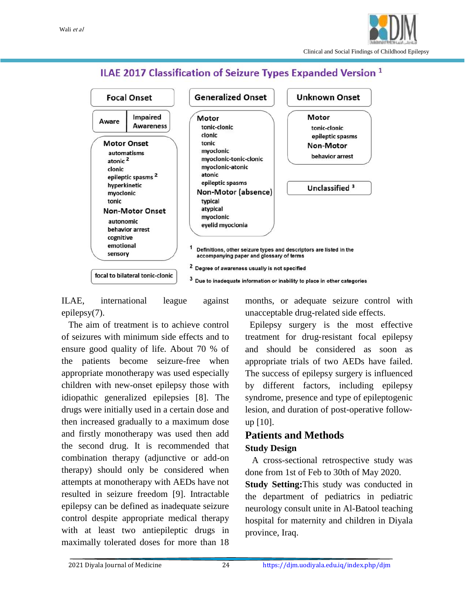

## ILAE 2017 Classification of Seizure Types Expanded Version<sup>1</sup>



ILAE, international league against epilepsy(7).

 The aim of treatment is to achieve control of seizures with minimum side effects and to ensure good quality of life. About 70 % of the patients become seizure-free when appropriate monotherapy was used especially children with new-onset epilepsy those with idiopathic generalized epilepsies [8]. The drugs were initially used in a certain dose and then increased gradually to a maximum dose and firstly monotherapy was used then add the second drug. It is recommended that combination therapy (adjunctive or add-on therapy) should only be considered when attempts at monotherapy with AEDs have not resulted in seizure freedom [9]. Intractable epilepsy can be defined as inadequate seizure control despite appropriate medical therapy with at least two antiepileptic drugs in maximally tolerated doses for more than 18

months, or adequate seizure control with unacceptable drug-related side effects.

 Epilepsy surgery is the most effective treatment for drug‐resistant focal epilepsy and should be considered as soon as appropriate trials of two AEDs have failed. The success of epilepsy surgery is influenced by different factors, including epilepsy syndrome, presence and type of epileptogenic lesion, and duration of post‐operative follow‐ up [10].

# **Patients and Methods**

#### **Study Design**

 A cross-sectional retrospective study was done from 1st of Feb to 30th of May 2020.

**Study Setting:**This study was conducted in the department of pediatrics in pediatric neurology consult unite in Al-Batool teaching hospital for maternity and children in Diyala province, Iraq.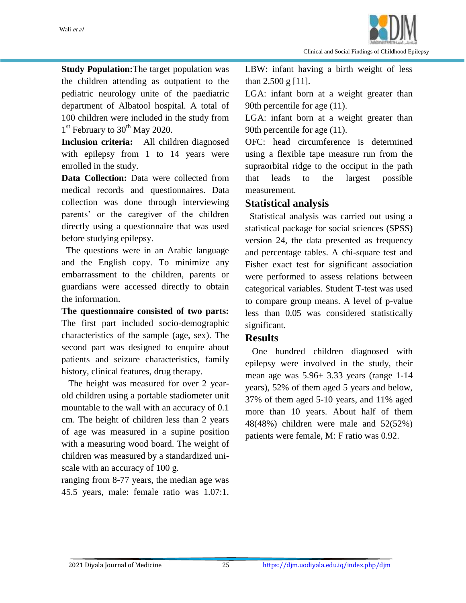

**Study Population:**The target population was the children attending as outpatient to the pediatric neurology unite of the paediatric department of Albatool hospital. A total of 100 children were included in the study from 1<sup>st</sup> February to 30<sup>th</sup> May 2020.

**Inclusion criteria:** All children diagnosed with epilepsy from 1 to 14 years were enrolled in the study.

**Data Collection:** Data were collected from medical records and questionnaires. Data collection was done through interviewing parents' or the caregiver of the children directly using a questionnaire that was used before studying epilepsy.

 The questions were in an Arabic language and the English copy. To minimize any embarrassment to the children, parents or guardians were accessed directly to obtain the information.

**The questionnaire consisted of two parts:** The first part included socio-demographic characteristics of the sample (age, sex). The second part was designed to enquire about patients and seizure characteristics, family history, clinical features, drug therapy.

 The height was measured for over 2 yearold children using a portable stadiometer unit mountable to the wall with an accuracy of 0.1 cm. The height of children less than 2 years of age was measured in a supine position with a measuring wood board. The weight of children was measured by a standardized uniscale with an accuracy of 100 g.

ranging from 8-77 years, the median age was 45.5 years, male: female ratio was 1.07:1. LBW: infant having a birth weight of less than 2.500 g [11].

LGA: infant born at a weight greater than 90th percentile for age (11).

LGA: infant born at a weight greater than 90th percentile for age (11).

OFC: head circumference is determined using a flexible tape measure run from the supraorbital ridge to the occiput in the path that leads to the largest possible measurement.

#### **Statistical analysis**

 Statistical analysis was carried out using a statistical package for social sciences (SPSS) version 24, the data presented as frequency and percentage tables. A chi-square test and Fisher exact test for significant association were performed to assess relations between categorical variables. Student T-test was used to compare group means. A level of p-value less than 0.05 was considered statistically significant.

#### **Results**

 One hundred children diagnosed with epilepsy were involved in the study, their mean age was 5.96± 3.33 years (range 1-14 years), 52% of them aged 5 years and below, 37% of them aged 5-10 years, and 11% aged more than 10 years. About half of them 48(48%) children were male and 52(52%) patients were female, M: F ratio was 0.92.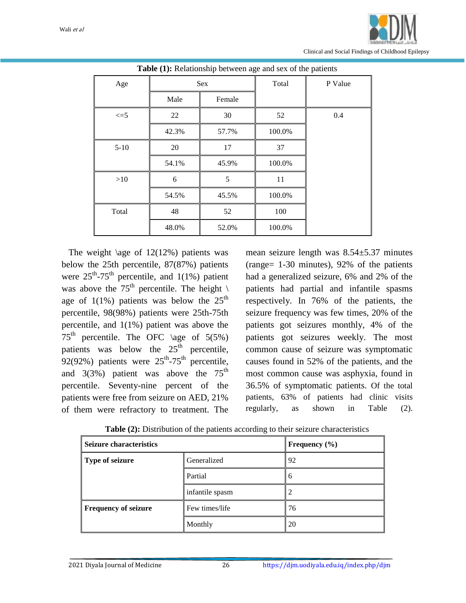

| <b>Table (1):</b> Relationship between age and sex of the patients |                       |       |        |         |
|--------------------------------------------------------------------|-----------------------|-------|--------|---------|
| Age                                                                | Sex<br>Male<br>Female |       | Total  | P Value |
|                                                                    |                       |       |        |         |
| $\leq$ =5                                                          | 22                    | 30    | 52     | 0.4     |
|                                                                    | 42.3%                 | 57.7% | 100.0% |         |
| $5-10$                                                             | 20                    | 17    | 37     |         |
|                                                                    | 54.1%                 | 45.9% | 100.0% |         |
| $>10$                                                              | 6                     | 5     | 11     |         |
|                                                                    | 54.5%                 | 45.5% | 100.0% |         |
| Total                                                              | 48                    | 52    | 100    |         |
|                                                                    | 48.0%                 | 52.0% | 100.0% |         |

**Table (1):** Relationship between age and sex of the patients

The weight  $\angle$ age of 12(12%) patients was below the 25th percentile, 87(87%) patients were  $25^{\text{th}}$ -75<sup>th</sup> percentile, and 1(1%) patient was above the 75<sup>th</sup> percentile. The height  $\setminus$ age of  $1(1\%)$  patients was below the  $25<sup>th</sup>$ percentile, 98(98%) patients were 25th-75th percentile, and 1(1%) patient was above the  $75<sup>th</sup>$  percentile. The OFC \age of 5(5%) patients was below the  $25<sup>th</sup>$  percentile, 92(92%) patients were  $25^{th}$ -75<sup>th</sup> percentile, and  $3(3\%)$  patient was above the  $75<sup>th</sup>$ percentile. Seventy-nine percent of the patients were free from seizure on AED, 21% of them were refractory to treatment. The

mean seizure length was 8.54±5.37 minutes (range= 1-30 minutes), 92% of the patients had a generalized seizure, 6% and 2% of the patients had partial and infantile spasms respectively. In 76% of the patients, the seizure frequency was few times, 20% of the patients got seizures monthly, 4% of the patients got seizures weekly. The most common cause of seizure was symptomatic causes found in 52% of the patients, and the most common cause was asphyxia, found in 36.5% of symptomatic patients. Of the total patients, 63% of patients had clinic visits regularly, as shown in Table (2).

| <b>Seizure characteristics</b>                |                   | Frequency $(\% )$ |
|-----------------------------------------------|-------------------|-------------------|
| Type of seizure                               | 92<br>Generalized |                   |
| Partial<br>infantile spasm                    |                   | 6                 |
|                                               |                   | 2                 |
| <b>Frequency of seizure</b><br>Few times/life |                   | 76                |
| Monthly                                       |                   | 20                |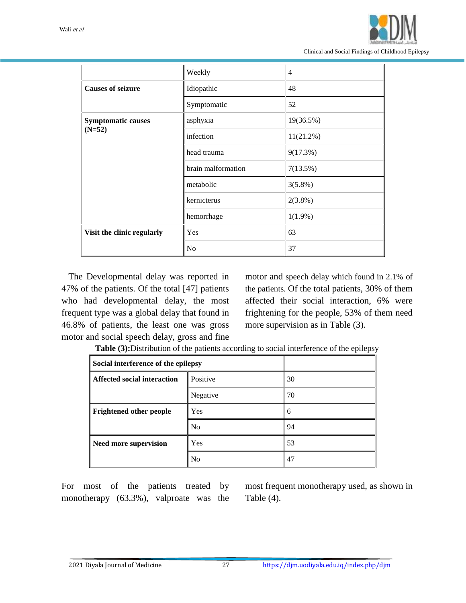

|                            | Weekly             | 4            |
|----------------------------|--------------------|--------------|
| <b>Causes of seizure</b>   | Idiopathic         | 48           |
|                            | Symptomatic        | 52           |
| <b>Symptomatic causes</b>  | asphyxia           | 19(36.5%)    |
| $(N=52)$                   | infection          | $11(21.2\%)$ |
|                            | head trauma        | 9(17.3%)     |
|                            | brain malformation | 7(13.5%)     |
|                            | metabolic          | $3(5.8\%)$   |
|                            | kernicterus        | $2(3.8\%)$   |
|                            | hemorrhage         | $1(1.9\%)$   |
| Visit the clinic regularly | Yes                | 63           |
|                            | No                 | 37           |

 The Developmental delay was reported in 47% of the patients. Of the total [47] patients who had developmental delay, the most frequent type was a global delay that found in 46.8% of patients, the least one was gross motor and social speech delay, gross and fine motor and speech delay which found in 2.1% of the patients. Of the total patients, 30% of them affected their social interaction, 6% were frightening for the people, 53% of them need more supervision as in Table (3).

**Table (3):**Distribution of the patients according to social interference of the epilepsy

| Social interference of the epilepsy            |                |    |
|------------------------------------------------|----------------|----|
| Positive<br><b>Affected social interaction</b> |                | 30 |
|                                                | Negative       | 70 |
| <b>Frightened other people</b>                 | Yes            | 6  |
|                                                | N <sub>0</sub> | 94 |
| Need more supervision                          | Yes            | 53 |
|                                                | No             | 47 |

For most of the patients treated by monotherapy (63.3%), valproate was the most frequent monotherapy used, as shown in Table (4).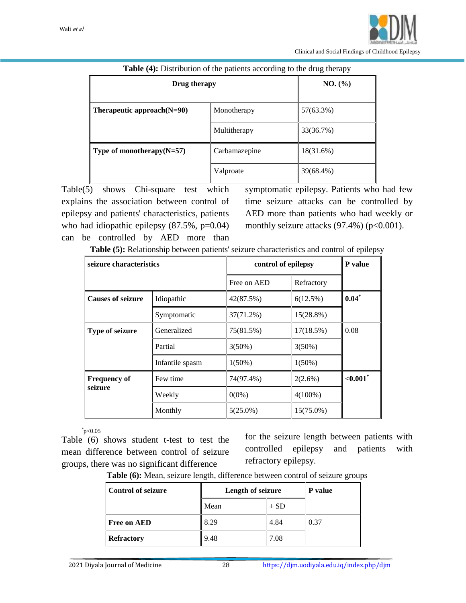| Drug therapy                                  | NO. (%)                  |           |
|-----------------------------------------------|--------------------------|-----------|
| Therapeutic approach $(N=90)$                 | 57(63.3%)<br>Monotherapy |           |
|                                               | Multitherapy             | 33(36.7%) |
| Type of monotherapy $(N=57)$<br>Carbamazepine |                          | 18(31.6%) |
|                                               | Valproate                | 39(68.4%) |

#### **Table (4):** Distribution of the patients according to the drug therapy

Table(5) shows Chi-square test which explains the association between control of epilepsy and patients' characteristics, patients who had idiopathic epilepsy  $(87.5\% , p=0.04)$ can be controlled by AED more than

symptomatic epilepsy. Patients who had few time seizure attacks can be controlled by AED more than patients who had weekly or monthly seizure attacks  $(97.4\%)$  (p<0.001).

| Table (5): Relationship between patients' seizure characteristics and control of epilepsy |  |  |
|-------------------------------------------------------------------------------------------|--|--|
|-------------------------------------------------------------------------------------------|--|--|

| seizure characteristics  |                 | control of epilepsy |              | P value |
|--------------------------|-----------------|---------------------|--------------|---------|
|                          |                 | Free on AED         | Refractory   |         |
| <b>Causes of seizure</b> | Idiopathic      | 42(87.5%)           | 6(12.5%)     | $0.04*$ |
|                          | Symptomatic     | 37(71.2%)           | $15(28.8\%)$ |         |
| Type of seizure          | Generalized     | 75(81.5%)           | 17(18.5%)    | 0.08    |
|                          | Partial         | $3(50\%)$           | $3(50\%)$    |         |
|                          | Infantile spasm | $1(50\%)$           | $1(50\%)$    |         |
| <b>Frequency of</b>      | Few time        | 74(97.4%)           | $2(2.6\%)$   | < 0.001 |
| seizure                  | Weekly          | $0(0\%)$            | $4(100\%)$   |         |
|                          | Monthly         | $5(25.0\%)$         | $15(75.0\%)$ |         |

 $p<0.05$ 

Table (6) shows student t-test to test the mean difference between control of seizure groups, there was no significant difference

for the seizure length between patients with controlled epilepsy and patients with refractory epilepsy.

**Table (6):** Mean, seizure length, difference between control of seizure groups

| <b>Control of seizure</b> | Length of seizure |          | P value |
|---------------------------|-------------------|----------|---------|
|                           | Mean              | $\pm$ SD |         |
| <b>Free on AED</b>        | 8.29              | 4.84     | 0.37    |
| <b>Refractory</b>         | 9.48              | 7.08     |         |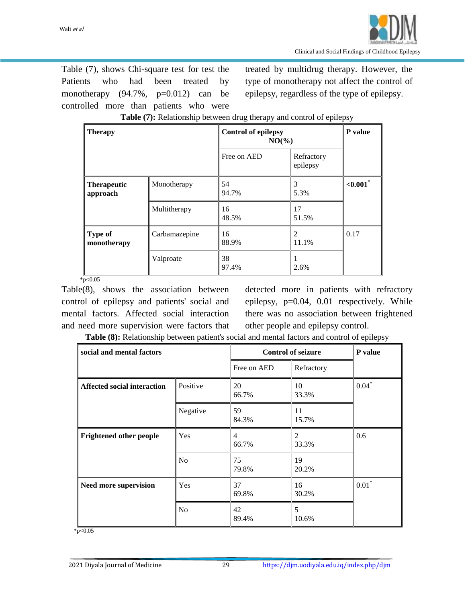Table (7), shows Chi-square test for test the Patients who had been treated by monotherapy  $(94.7\%, p=0.012)$  can be controlled more than patients who were

treated by multidrug therapy. However, the type of monotherapy not affect the control of epilepsy, regardless of the type of epilepsy.

| <b>Therapy</b>                 |               | <b>Control of epilepsy</b><br>$NO(\frac{9}{6})$ | P value                |             |
|--------------------------------|---------------|-------------------------------------------------|------------------------|-------------|
|                                |               | Free on AED                                     | Refractory<br>epilepsy |             |
| <b>Therapeutic</b><br>approach | Monotherapy   | 54<br>94.7%                                     | 5.3%                   | $< 0.001$ * |
|                                | Multitherapy  | 16<br>48.5%                                     | 17<br>51.5%            |             |
| <b>Type of</b><br>monotherapy  | Carbamazepine | 16<br>88.9%                                     | 11.1%                  | 0.17        |
|                                | Valproate     | 38<br>97.4%                                     | 2.6%                   |             |

**Table (7):** Relationship between drug therapy and control of epilepsy

 $*_{p<0.05}$ 

Table(8), shows the association between control of epilepsy and patients' social and mental factors. Affected social interaction and need more supervision were factors that detected more in patients with refractory epilepsy, p=0.04, 0.01 respectively. While there was no association between frightened other people and epilepsy control.

**Table (8):** Relationship between patient's social and mental factors and control of epilepsy

| social and mental factors          |          | <b>Control of seizure</b> |                         | P value |
|------------------------------------|----------|---------------------------|-------------------------|---------|
|                                    |          | Free on AED               | Refractory              |         |
| <b>Affected social interaction</b> | Positive | 20<br>66.7%               | 10<br>33.3%             | $0.04*$ |
|                                    | Negative | 59<br>84.3%               | 11<br>15.7%             |         |
| <b>Frightened other people</b>     | Yes      | 4<br>66.7%                | $\overline{c}$<br>33.3% | 0.6     |
|                                    | No       | 75<br>79.8%               | 19<br>20.2%             |         |
| Need more supervision              | Yes      | 37<br>69.8%               | 16<br>30.2%             | $0.01*$ |
|                                    | No       | 42<br>89.4%               | 5<br>10.6%              |         |

 $*_{p<0.05}$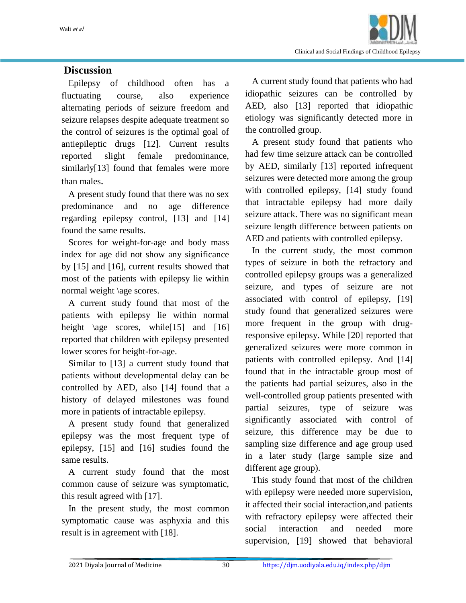

#### **Discussion**

 Epilepsy of childhood often has a fluctuating course, also experience alternating periods of seizure freedom and seizure relapses despite adequate treatment so the control of seizures is the optimal goal of antiepileptic drugs [12]. Current results reported slight female predominance, similarly[13] found that females were more than males.

 A present study found that there was no sex predominance and no age difference regarding epilepsy control, [13] and [14] found the same results.

 Scores for weight-for-age and body mass index for age did not show any significance by [15] and [16], current results showed that most of the patients with epilepsy lie within normal weight \age scores.

 A current study found that most of the patients with epilepsy lie within normal height  $\angle$ age scores, while[15] and [16] reported that children with epilepsy presented lower scores for height-for-age.

 Similar to [13] a current study found that patients without developmental delay can be controlled by AED, also [14] found that a history of delayed milestones was found more in patients of intractable epilepsy.

 A present study found that generalized epilepsy was the most frequent type of epilepsy, [15] and [16] studies found the same results.

 A current study found that the most common cause of seizure was symptomatic, this result agreed with [17].

 In the present study, the most common symptomatic cause was asphyxia and this result is in agreement with [18].

 A current study found that patients who had idiopathic seizures can be controlled by AED, also [13] reported that idiopathic etiology was significantly detected more in the controlled group.

 A present study found that patients who had few time seizure attack can be controlled by AED, similarly [13] reported infrequent seizures were detected more among the group with controlled epilepsy, [14] study found that intractable epilepsy had more daily seizure attack. There was no significant mean seizure length difference between patients on AED and patients with controlled epilepsy.

 In the current study, the most common types of seizure in both the refractory and controlled epilepsy groups was a generalized seizure, and types of seizure are not associated with control of epilepsy, [19] study found that generalized seizures were more frequent in the group with drugresponsive epilepsy. While [20] reported that generalized seizures were more common in patients with controlled epilepsy. And [14] found that in the intractable group most of the patients had partial seizures, also in the well-controlled group patients presented with partial seizures, type of seizure was significantly associated with control of seizure, this difference may be due to sampling size difference and age group used in a later study (large sample size and different age group).

 This study found that most of the children with epilepsy were needed more supervision, it affected their social interaction,and patients with refractory epilepsy were affected their social interaction and needed more supervision, [19] showed that behavioral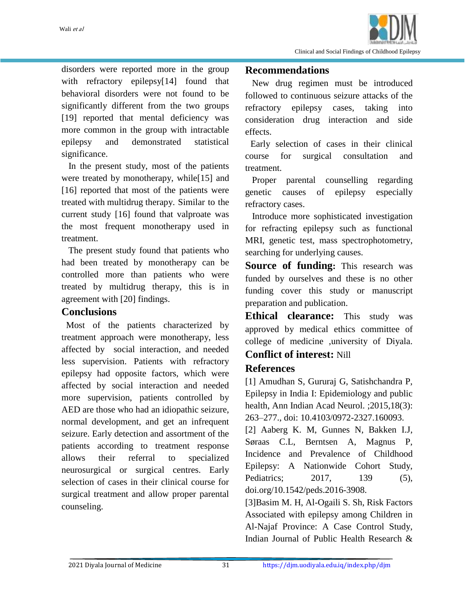

disorders were reported more in the group with refractory epilepsy[14] found that behavioral disorders were not found to be significantly different from the two groups [19] reported that mental deficiency was more common in the group with intractable epilepsy and demonstrated statistical significance.

 In the present study, most of the patients were treated by monotherapy, while<sup>[15]</sup> and [16] reported that most of the patients were treated with multidrug therapy. Similar to the current study [16] found that valproate was the most frequent monotherapy used in treatment.

 The present study found that patients who had been treated by monotherapy can be controlled more than patients who were treated by multidrug therapy, this is in agreement with [20] findings.

#### **Conclusions**

 Most of the patients characterized by treatment approach were monotherapy, less affected by social interaction, and needed less supervision. Patients with refractory epilepsy had opposite factors, which were affected by social interaction and needed more supervision, patients controlled by AED are those who had an idiopathic seizure, normal development, and get an infrequent seizure. Early detection and assortment of the patients according to treatment response allows their referral to specialized neurosurgical or surgical centres. Early selection of cases in their clinical course for surgical treatment and allow proper parental counseling.

#### **Recommendations**

 New drug regimen must be introduced followed to continuous seizure attacks of the refractory epilepsy cases, taking into consideration drug interaction and side effects.

Early selection of cases in their clinical course for surgical consultation and treatment.

Proper parental counselling regarding genetic causes of epilepsy especially refractory cases.

 Introduce more sophisticated investigation for refracting epilepsy such as functional MRI, genetic test, mass spectrophotometry, searching for underlying causes.

**Source of funding:** This research was funded by ourselves and these is no other funding cover this study or manuscript preparation and publication.

**Ethical clearance:** This study was approved by medical ethics committee of college of medicine ,university of Diyala.

## **Conflict of interest:** Nill

#### **References**

[1] Amudhan S, Gururaj G, Satishchandra P, Epilepsy in India I: Epidemiology and public health, Ann Indian Acad Neurol. ;2015,18(3): 263–277., doi: 10.4103/0972-2327.160093.

[2] Aaberg K. M, Gunnes N, Bakken I.J, Søraas C.L, Berntsen A, Magnus P, Incidence and Prevalence of Childhood Epilepsy: A Nationwide Cohort Study, Pediatrics; 2017, 139 (5), doi.org/10.1542/peds.2016-3908.

[3]Basim M. H, Al-Ogaili S. Sh, Risk Factors Associated with epilepsy among Children in Al-Najaf Province: A Case Control Study, Indian Journal of Public Health Research &